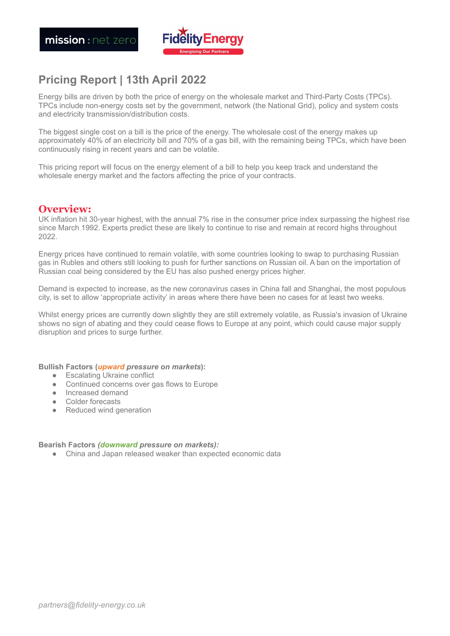

# **Pricing Report | 13th April 2022**

Energy bills are driven by both the price of energy on the wholesale market and Third-Party Costs (TPCs). TPCs include non-energy costs set by the government, network (the National Grid), policy and system costs and electricity transmission/distribution costs.

The biggest single cost on a bill is the price of the energy. The wholesale cost of the energy makes up approximately 40% of an electricity bill and 70% of a gas bill, with the remaining being TPCs, which have been continuously rising in recent years and can be volatile.

This pricing report will focus on the energy element of a bill to help you keep track and understand the wholesale energy market and the factors affecting the price of your contracts.

## **Overview:**

UK inflation hit 30-year highest, with the annual 7% rise in the consumer price index surpassing the highest rise since March 1992. Experts predict these are likely to continue to rise and remain at record highs throughout 2022.

Energy prices have continued to remain volatile, with some countries looking to swap to purchasing Russian gas in Rubles and others still looking to push for further sanctions on Russian oil. A ban on the importation of Russian coal being considered by the EU has also pushed energy prices higher.

Demand is expected to increase, as the new coronavirus cases in China fall and Shanghai, the most populous city, is set to allow 'appropriate activity' in areas where there have been no cases for at least two weeks.

Whilst energy prices are currently down slightly they are still extremely volatile, as Russia's invasion of Ukraine shows no sign of abating and they could cease flows to Europe at any point, which could cause major supply disruption and prices to surge further.

**Bullish Factors (***upward pressure on markets***):**

- Escalating Ukraine conflict
- Continued concerns over gas flows to Europe
- Increased demand
- Colder forecasts
- **●** Reduced wind generation

#### **Bearish Factors** *(downward pressure on markets):*

● China and Japan released weaker than expected economic data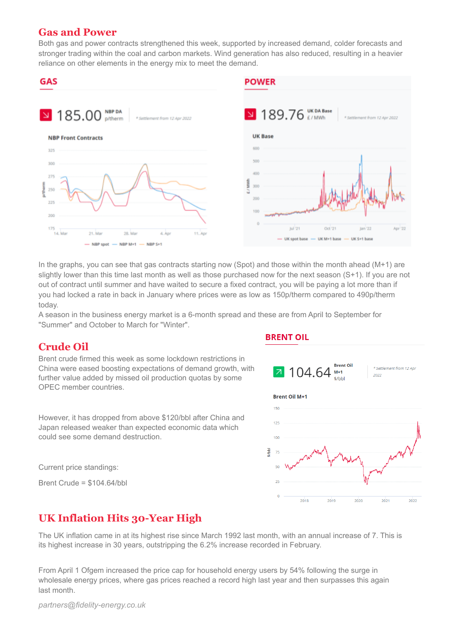## **Gas and Power**

Both gas and power contracts strengthened this week, supported by increased demand, colder forecasts and stronger trading within the coal and carbon markets. Wind generation has also reduced, resulting in a heavier reliance on other elements in the energy mix to meet the demand.



In the graphs, you can see that gas contracts starting now (Spot) and those within the month ahead (M+1) are slightly lower than this time last month as well as those purchased now for the next season (S+1). If you are not out of contract until summer and have waited to secure a fixed contract, you will be paying a lot more than if you had locked a rate in back in January where prices were as low as 150p/therm compared to 490p/therm today.

A season in the business energy market is a 6-month spread and these are from April to September for "Summer" and October to March for "Winter".

# **Crude Oil**

Brent crude firmed this week as some lockdown restrictions in China were eased boosting expectations of demand growth, with further value added by missed oil production quotas by some OPEC member countries.

However, it has dropped from above \$120/bbl after China and Japan released weaker than expected economic data which could see some demand destruction.

Current price standings:

Brent Crude = \$104.64/bbl

## **BRENT OIL**



# **UK Inflation Hits 30-Year High**

The UK inflation came in at its highest rise since March 1992 last month, with an annual increase of 7. This is its highest increase in 30 years, outstripping the 6.2% increase recorded in February.

From April 1 Ofgem increased the price cap for household energy users by 54% following the surge in wholesale energy prices, where gas prices reached a record high last year and then surpasses this again last month.

*partners@fidelity-energy.co.uk*